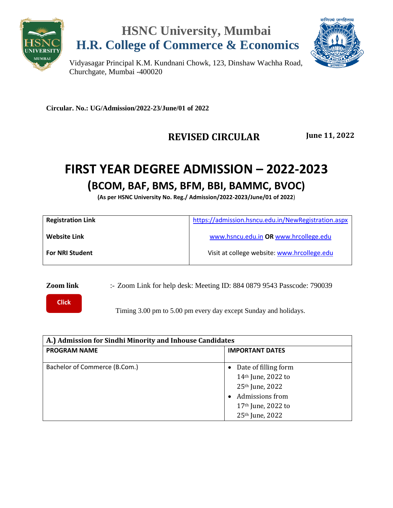





Vidyasagar Principal K.M. Kundnani Chowk, 123, Dinshaw Wachha Road, Churchgate, Mumbai -400020

**Circular. No.: UG/Admission/2022-23/June/01 of 2022**

#### **REVISED CIRCULAR June 11, 2022**

### **FIRST YEAR DEGREE ADMISSION – 2022-2023 (BCOM, BAF, BMS, BFM, BBI, BAMMC, BVOC)**

**(As per HSNC University No. Reg./ Admission/2022-2023/June/01 of 2022**)

| https://admission.hsncu.edu.in/NewRegistration.aspx |
|-----------------------------------------------------|
| www.hsncu.edu.in OR www.hrcollege.edu               |
| Visit at college website: www.hrcollege.edu         |
|                                                     |

**Zoom link** :- Zoom Link for help desk: Meeting ID: 884 0879 9543 Passcode: 790039

**[Click](https://us06web.zoom.us/u/kbm7eeO1NK)  here**

Timing 3.00 pm to 5.00 pm every day except Sunday and holidays.

| A.) Admission for Sindhi Minority and Inhouse Candidates |                                                                                                                                                               |  |
|----------------------------------------------------------|---------------------------------------------------------------------------------------------------------------------------------------------------------------|--|
| <b>PROGRAM NAME</b>                                      | <b>IMPORTANT DATES</b>                                                                                                                                        |  |
| Bachelor of Commerce (B.Com.)                            | Date of filling form<br>14th June, 2022 to<br>25 <sup>th</sup> June, 2022<br>Admissions from<br>17 <sup>th</sup> June, 2022 to<br>25 <sup>th</sup> June, 2022 |  |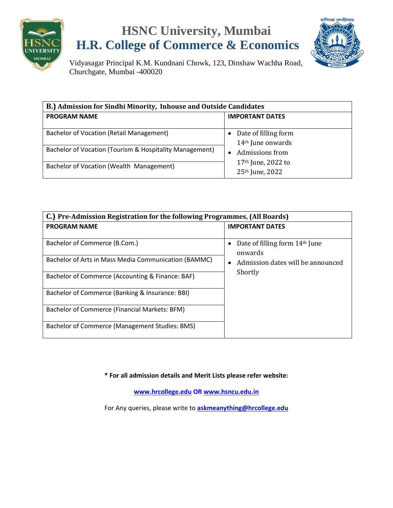

## **HSNC University, Mumbai H.R. College of Commerce & Economics**



Vidyasagar Principal K.M. Kundnani Chowk, 123, Dinshaw Wachha Road, Churchgate, Mumbai -400020

| B.) Admission for Sindhi Minority, Inhouse and Outside Candidates                                   |                                                                                                                  |  |  |
|-----------------------------------------------------------------------------------------------------|------------------------------------------------------------------------------------------------------------------|--|--|
| <b>PROGRAM NAME</b>                                                                                 | <b>IMPORTANT DATES</b>                                                                                           |  |  |
| Bachelor of Vocation (Retail Management)<br>Bachelor of Vocation (Tourism & Hospitality Management) | Date of filling form<br>$\bullet$<br>$14th$ June onwards<br>Admissions from<br>$\bullet$<br>$17th$ June, 2022 to |  |  |
| Bachelor of Vocation (Wealth Management)                                                            | 25 <sup>th</sup> June, 2022                                                                                      |  |  |

| C.) Pre-Admission Registration for the following Programmes, (All Boards) |                                                                                |  |
|---------------------------------------------------------------------------|--------------------------------------------------------------------------------|--|
| <b>PROGRAM NAME</b>                                                       | <b>IMPORTANT DATES</b>                                                         |  |
| Bachelor of Commerce (B.Com.)                                             | Date of filling form 14th June<br>onwards<br>Admission dates will be announced |  |
| Bachelor of Arts in Mass Media Communication (BAMMC)                      |                                                                                |  |
| Bachelor of Commerce (Accounting & Finance: BAF)                          | Shortly                                                                        |  |
| Bachelor of Commerce (Banking & Insurance: BBI)                           |                                                                                |  |
| Bachelor of Commerce (Financial Markets: BFM)                             |                                                                                |  |
| Bachelor of Commerce (Management Studies: BMS)                            |                                                                                |  |

**\* For all admission details and Merit Lists please refer website:**

**[www.hrcollege.edu](http://www.hrcollege.edu/) OR [www.hsncu.edu.in](http://www.hsncu.edu.in/)**

For Any queries, please write to **<askmeanything@hrcollege.edu>**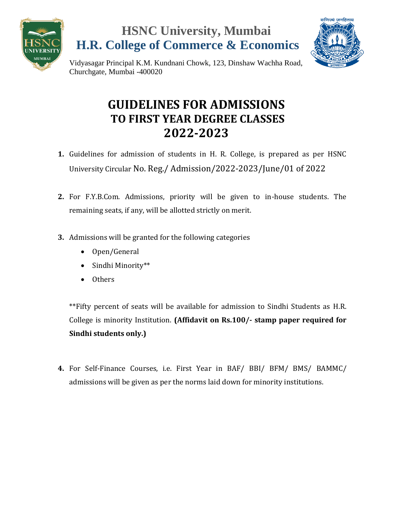





Vidyasagar Principal K.M. Kundnani Chowk, 123, Dinshaw Wachha Road, Churchgate, Mumbai -400020

### **GUIDELINES FOR ADMISSIONS TO FIRST YEAR DEGREE CLASSES 2022-2023**

- **1.** Guidelines for admission of students in H. R. College, is prepared as per HSNC University Circular No. Reg./ Admission/2022-2023/June/01 of 2022
- **2.** For F.Y.B.Com. Admissions, priority will be given to in-house students. The remaining seats, if any, will be allotted strictly on merit.
- **3.** Admissions will be granted for the following categories
	- Open/General
	- Sindhi Minority\*\*
	- Others

\*\*Fifty percent of seats will be available for admission to Sindhi Students as H.R. College is minority Institution. **(Affidavit on Rs.100/- stamp paper required for Sindhi students only.)**

**4.** For Self-Finance Courses, i.e. First Year in BAF/ BBI/ BFM/ BMS/ BAMMC/ admissions will be given as per the norms laid down for minority institutions.